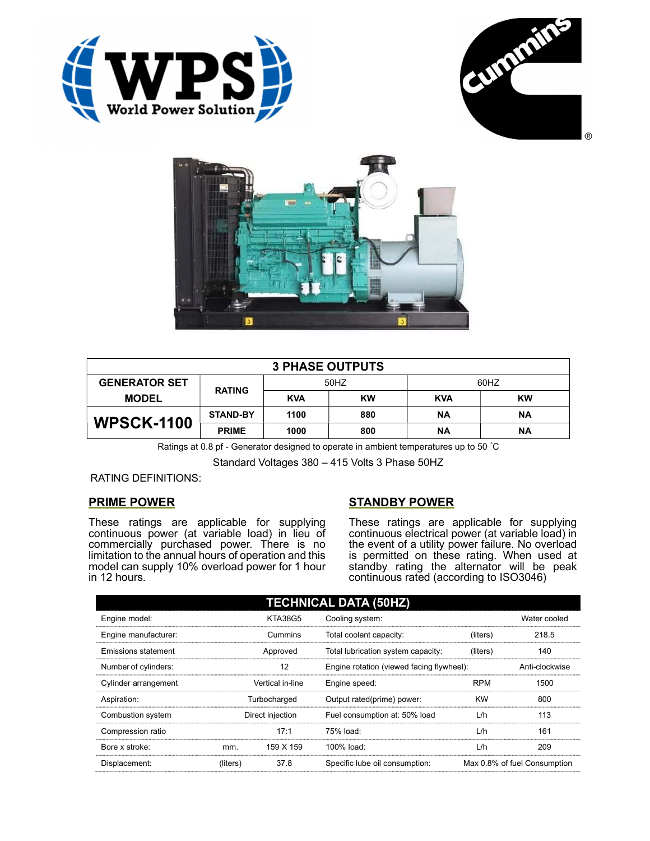





| <b>3 PHASE OUTPUTS</b> |                 |            |           |            |           |  |
|------------------------|-----------------|------------|-----------|------------|-----------|--|
| <b>GENERATOR SET</b>   | <b>RATING</b>   | 50HZ       |           | 60HZ       |           |  |
| <b>MODEL</b>           |                 | <b>KVA</b> | <b>KW</b> | <b>KVA</b> | <b>KW</b> |  |
| <b>WPSCK-1100</b>      | <b>STAND-BY</b> | 1100       | 880       | <b>NA</b>  | ΝA        |  |
|                        | <b>PRIME</b>    | 1000       | 800       | ΝA         | ΝA        |  |

Ratings at 0.8 pf - Generator designed to operate in ambient temperatures up to 50 °C

Standard Voltages 380 – 415 Volts 3 Phase 50HZ

RATING DEFINITIONS:

## PRIME POWER

These ratings are applicable for supplying continuous power (at variable load) in lieu of commercially purchased power. There is no limitation to the annual hours of operation and this model can supply 10% overload power for 1 hour in 12 hours.

## STANDBY POWER

These ratings are applicable for supplying continuous electrical power (at variable load) in the event of a utility power failure. No overload is permitted on these rating. When used at standby rating the alternator will be peak continuous rated (according to ISO3046)

| <b>TECHNICAL DATA (50HZ)</b> |                  |                  |                                           |            |                              |
|------------------------------|------------------|------------------|-------------------------------------------|------------|------------------------------|
| Engine model:                |                  | <b>KTA38G5</b>   | Cooling system:                           |            | Water cooled                 |
| Engine manufacturer:         |                  | Cummins          | Total coolant capacity:                   | (liters)   | 218.5                        |
| <b>Emissions statement</b>   |                  | Approved         | Total lubrication system capacity:        | (liters)   | 140                          |
| Number of cylinders:         | 12               |                  | Engine rotation (viewed facing flywheel): |            | Anti-clockwise               |
| Cylinder arrangement         |                  | Vertical in-line | Engine speed:                             | <b>RPM</b> | 1500                         |
| Aspiration:                  | Turbocharged     |                  | Output rated(prime) power:                | <b>KW</b>  | 800                          |
| Combustion system            | Direct injection |                  | Fuel consumption at: 50% load             | L/h        | 113                          |
| Compression ratio            |                  | 17:1             | 75% load:                                 | L/h        | 161                          |
| Bore x stroke:               | mm.              | 159 X 159        | 100% load:                                | L/h        | 209                          |
| Displacement:                | (liters)         | 37.8             | Specific lube oil consumption:            |            | Max 0.8% of fuel Consumption |